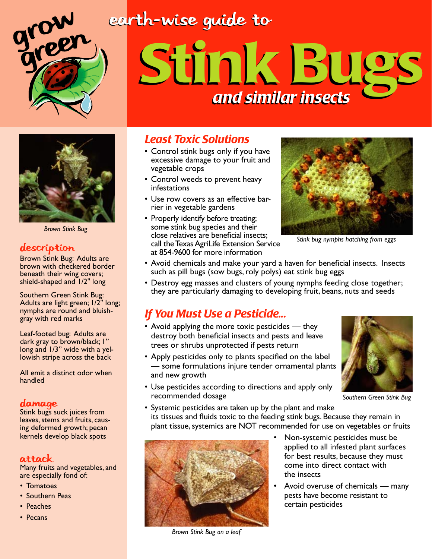### earth-wise guide to



# Stink Bugs Stink Bugs *and similar insects and similar insects*



*Brown Stink Bug*

#### description

Brown Stink Bug: Adults are brown with checkered border beneath their wing covers; shield-shaped and 1/2" long

Southern Green Stink Bug: Adults are light green; 1/2" long; nymphs are round and bluishgray with red marks

Leaf-footed bug: Adults are dark gray to brown/black; 1" long and 1/3" wide with a yellowish stripe across the back

All emit a distinct odor when handled

#### damage

Stink bugs suck juices from leaves, stems and fruits, causing deformed growth; pecan kernels develop black spots

#### Attack

Many fruits and vegetables, and are especially fond of:

- Tomatoes
- Southern Peas
- Peaches
- Pecans

#### *Least Toxic Solutions*

- Control stink bugs only if you have excessive damage to your fruit and vegetable crops
- Control weeds to prevent heavy infestations
- Use row covers as an effective barrier in vegetable gardens
- Properly identify before treating; some stink bug species and their close relatives are beneficial insects; call the Texas AgriLife Extension Service at 854-9600 for more information



*Stink bug nymphs hatching from eggs*

- Avoid chemicals and make your yard a haven for beneficial insects. Insects such as pill bugs (sow bugs, roly polys) eat stink bug eggs
- Destroy egg masses and clusters of young nymphs feeding close together; they are particularly damaging to developing fruit, beans, nuts and seeds

#### *If You Must Use a Pesticide...*

- Avoid applying the more toxic pesticides they destroy both beneficial insects and pests and leave trees or shrubs unprotected if pests return
- Apply pesticides only to plants specified on the label — some formulations injure tender ornamental plants and new growth
- Use pesticides according to directions and apply only recommended dosage



*Southern Green Stink Bug*

• Systemic pesticides are taken up by the plant and make its tissues and fluids toxic to the feeding stink bugs. Because they remain in plant tissue, systemics are NOT recommended for use on vegetables or fruits



*Brown Stink Bug on a leaf*

- Non-systemic pesticides must be applied to all infested plant surfaces for best results, because they must come into direct contact with the insects
- Avoid overuse of chemicals many pests have become resistant to certain pesticides